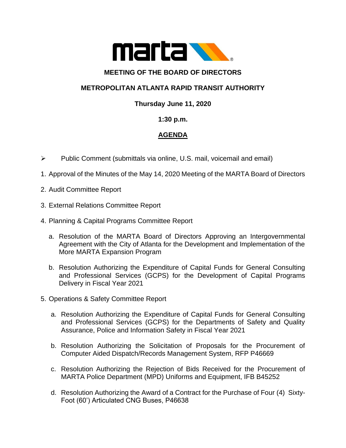

### **MEETING OF THE BOARD OF DIRECTORS**

# **METROPOLITAN ATLANTA RAPID TRANSIT AUTHORITY**

## **Thursday June 11, 2020**

### **1:30 p.m.**

# **AGENDA**

- ➢ Public Comment (submittals via online, U.S. mail, voicemail and email)
- 1. Approval of the Minutes of the May 14, 2020 Meeting of the MARTA Board of Directors
- 2. Audit Committee Report
- 3. External Relations Committee Report
- 4. Planning & Capital Programs Committee Report
	- a. Resolution of the MARTA Board of Directors Approving an Intergovernmental Agreement with the City of Atlanta for the Development and Implementation of the More MARTA Expansion Program
	- b. Resolution Authorizing the Expenditure of Capital Funds for General Consulting and Professional Services (GCPS) for the Development of Capital Programs Delivery in Fiscal Year 2021
- 5. Operations & Safety Committee Report
	- a. Resolution Authorizing the Expenditure of Capital Funds for General Consulting and Professional Services (GCPS) for the Departments of Safety and Quality Assurance, Police and Information Safety in Fiscal Year 2021
	- b. Resolution Authorizing the Solicitation of Proposals for the Procurement of Computer Aided Dispatch/Records Management System, RFP P46669
	- c. Resolution Authorizing the Rejection of Bids Received for the Procurement of MARTA Police Department (MPD) Uniforms and Equipment, IFB B45252
	- d. Resolution Authorizing the Award of a Contract for the Purchase of Four (4) Sixty-Foot (60') Articulated CNG Buses, P46638